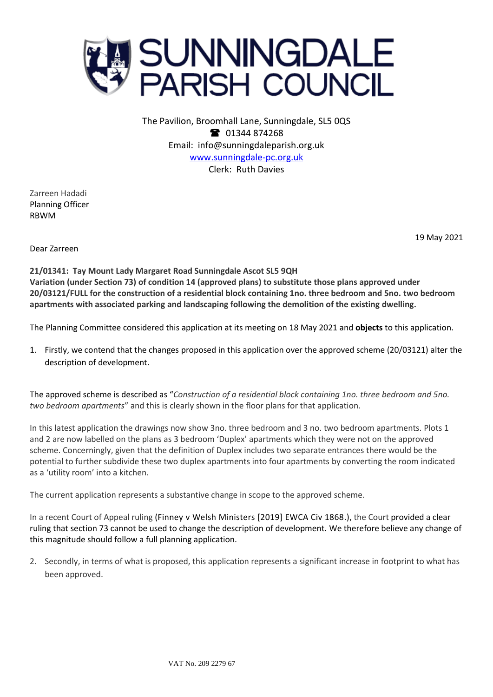

The Pavilion, Broomhall Lane, Sunningdale, SL5 0QS <sup>3</sup> 01344 874268 Email: info@sunningdaleparish.org.uk [www.sunningdale-pc.org.uk](http://www.sunningdale-pc.org.uk/) Clerk: Ruth Davies

Zarreen Hadadi Planning Officer RBWM

19 May 2021

Dear Zarreen

**21/01341: Tay Mount Lady Margaret Road Sunningdale Ascot SL5 9QH Variation (under Section 73) of condition 14 (approved plans) to substitute those plans approved under 20/03121/FULL for the construction of a residential block containing 1no. three bedroom and 5no. two bedroom apartments with associated parking and landscaping following the demolition of the existing dwelling.**

The Planning Committee considered this application at its meeting on 18 May 2021 and **objects** to this application.

1. Firstly, we contend that the changes proposed in this application over the approved scheme (20/03121) alter the description of development.

The approved scheme is described as "*Construction of a residential block containing 1no. three bedroom and 5no. two bedroom apartments*" and this is clearly shown in the floor plans for that application.

In this latest application the drawings now show 3no. three bedroom and 3 no. two bedroom apartments. Plots 1 and 2 are now labelled on the plans as 3 bedroom 'Duplex' apartments which they were not on the approved scheme. Concerningly, given that the definition of Duplex includes two separate entrances there would be the potential to further subdivide these two duplex apartments into four apartments by converting the room indicated as a 'utility room' into a kitchen.

The current application represents a substantive change in scope to the approved scheme.

In a recent Court of Appeal ruling (Finney v Welsh [Ministers](http://www.bailii.org/ew/cases/EWCA/Civ/2019/1868.html) [2019] EWCA Civ 1868.), the Court provided a clear ruling that section 73 cannot be used to change the description of development. We therefore believe any change of this magnitude should follow a full planning application.

2. Secondly, in terms of what is proposed, this application represents a significant increase in footprint to what has been approved.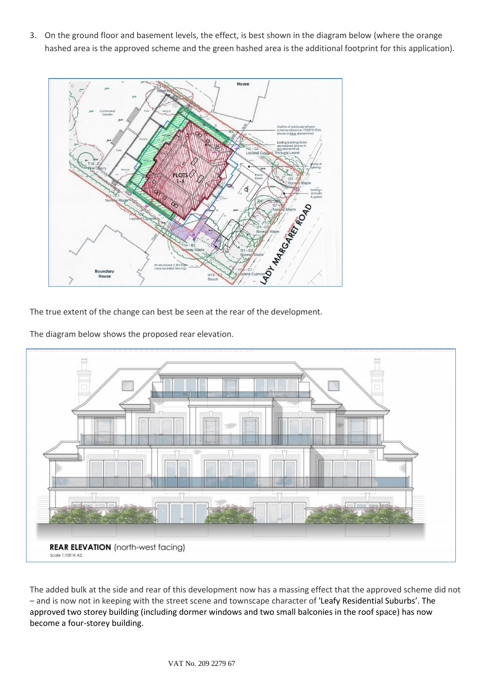3. On the ground floor and basement levels, the effect, is best shown in the diagram below (where the orange hashed area is the approved scheme and the green hashed area is the additional footprint for this application).



The true extent of the change can best be seen at the rear of the development.

The diagram below shows the proposed rear elevation.



The added bulk at the side and rear of this development now has a massing effect that the approved scheme did not – and is now not in keeping with the street scene and townscape character of 'Leafy Residential Suburbs'. The approved two storey building (including dormer windows and two small balconies in the roof space) has now become a four-storey building.